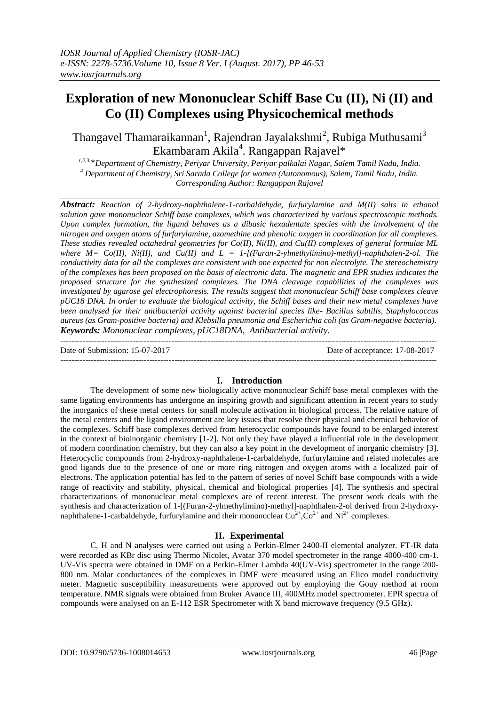# **Exploration of new Mononuclear Schiff Base Cu (II), Ni (II) and Co (II) Complexes using Physicochemical methods**

Thangavel Thamaraikannan<sup>1</sup>, Rajendran Jayalakshmi<sup>2</sup>, Rubiga Muthusami<sup>3</sup> Ekambaram Akila<sup>4</sup>. Rangappan Rajavel\*

*1,2,3,*\**Department of Chemistry, Periyar University, Periyar palkalai Nagar, Salem Tamil Nadu, India. <sup>4</sup> Department of Chemistry, Sri Sarada College for women (Autonomous), Salem, Tamil Nadu, India. Corresponding Author: Rangappan Rajavel*

*Abstract: Reaction of 2-hydroxy-naphthalene-1-carbaldehyde, furfurylamine and M(II) salts in ethanol solution gave mononuclear Schiff base complexes, which was characterized by various spectroscopic methods. Upon complex formation, the ligand behaves as a dibasic hexadentate species with the involvement of the nitrogen and oxygen atoms of furfurylamine, azomethine and phenolic oxygen in coordination for all complexes. These studies revealed octahedral geometries for Co(II), Ni(II), and Cu(II) complexes of general formulae ML*  where  $M=$   $Co(H)$ ,  $Ni(H)$ , and  $Cu(H)$  and  $L = 1$ -[(Furan-2-ylmethylimino)-methyl]-naphthalen-2-ol. The *conductivity data for all the complexes are consistent with one expected for non electrolyte. The stereochemistry of the complexes has been proposed on the basis of electronic data. The magnetic and EPR studies indicates the proposed structure for the synthesized complexes. The DNA cleavage capabilities of the complexes was investigated by agarose gel electrophoresis. The results suggest that mononuclear Schiff base complexes cleave pUC18 DNA. In order to evaluate the biological activity, the Schiff bases and their new metal complexes have been analysed for their antibacterial activity against bacterial species like- Bacillus subtilis, Staphylococcus aureus (as Gram-positive bacteria) and Klebsilla pneumonia and Escherichia coli (as Gram-negative bacteria). Keywords: Mononuclear complexes, pUC18DNA, Antibacterial activity.*

--------------------------------------------------------------------------------------------------------------------------------------- Date of Submission: 15-07-2017 Date of acceptance: 17-08-2017 ---------------------------------------------------------------------------------------------------------------------------------------

## **I. Introduction**

The development of some new biologically active mononuclear Schiff base metal complexes with the same ligating environments has undergone an inspiring growth and significant attention in recent years to study the inorganics of these metal centers for small molecule activation in biological process. The relative nature of the metal centers and the ligand environment are key issues that resolve their physical and chemical behavior of the complexes. Schiff base complexes derived from heterocyclic compounds have found to be enlarged interest in the context of bioinorganic chemistry [1-2]. Not only they have played a influential role in the development of modern coordination chemistry, but they can also a key point in the development of inorganic chemistry [3]. Heterocyclic compounds from 2-hydroxy-naphthalene-1-carbaldehyde, furfurylamine and related molecules are good ligands due to the presence of one or more ring nitrogen and oxygen atoms with a localized pair of electrons. The application potential has led to the pattern of series of novel Schiff base compounds with a wide range of reactivity and stability, physical, chemical and biological properties [4]. The synthesis and spectral characterizations of mononuclear metal complexes are of recent interest. The present work deals with the synthesis and characterization of 1-[(Furan-2-ylmethylimino)-methyl]-naphthalen-2-ol derived from 2-hydroxynaphthalene-1-carbaldehyde, furfurylamine and their mononuclear  $Cu^{2+}$ ,  $Co^{2+}$  and  $Ni^{2+}$  complexes.

## **II. Experimental**

C, H and N analyses were carried out using a Perkin-Elmer 2400-II elemental analyzer. FT-IR data were recorded as KBr disc using Thermo Nicolet, Avatar 370 model spectrometer in the range 4000-400 cm-1. UV-Vis spectra were obtained in DMF on a Perkin-Elmer Lambda 40(UV-Vis) spectrometer in the range 200- 800 nm. Molar conductances of the complexes in DMF were measured using an Elico model conductivity meter. Magnetic susceptibility measurements were approved out by employing the Gouy method at room temperature. NMR signals were obtained from Bruker Avance III, 400MHz model spectrometer. EPR spectra of compounds were analysed on an E-112 ESR Spectrometer with X band microwave frequency (9.5 GHz).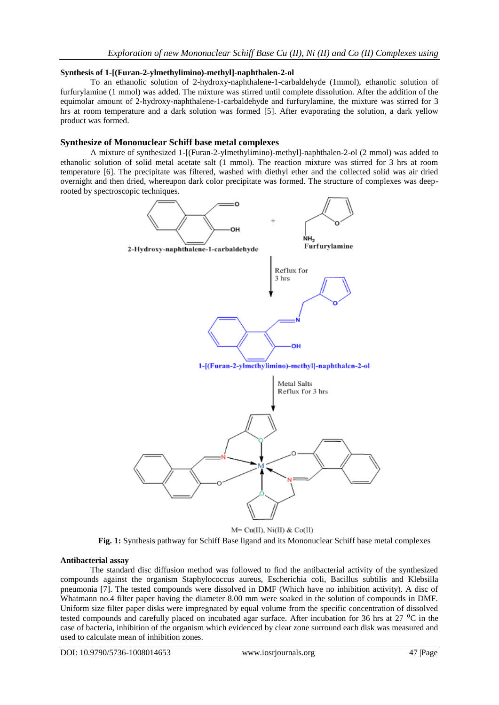## **Synthesis of 1-[(Furan-2-ylmethylimino)-methyl]-naphthalen-2-ol**

To an ethanolic solution of 2-hydroxy-naphthalene-1-carbaldehyde (1mmol), ethanolic solution of furfurylamine (1 mmol) was added. The mixture was stirred until complete dissolution. After the addition of the equimolar amount of 2-hydroxy-naphthalene-1-carbaldehyde and furfurylamine, the mixture was stirred for 3 hrs at room temperature and a dark solution was formed [5]. After evaporating the solution, a dark yellow product was formed.

## **Synthesize of Mononuclear Schiff base metal complexes**

A mixture of synthesized 1-[(Furan-2-ylmethylimino)-methyl]-naphthalen-2-ol (2 mmol) was added to ethanolic solution of solid metal acetate salt (1 mmol). The reaction mixture was stirred for 3 hrs at room temperature [6]. The precipitate was filtered, washed with diethyl ether and the collected solid was air dried overnight and then dried, whereupon dark color precipitate was formed. The structure of complexes was deeprooted by spectroscopic techniques.



M= Cu(II), Ni(II) & Co(II)

**Fig. 1:** Synthesis pathway for Schiff Base ligand and its Mononuclear Schiff base metal complexes

### **Antibacterial assay**

The standard disc diffusion method was followed to find the antibacterial activity of the synthesized compounds against the organism Staphylococcus aureus, Escherichia coli, Bacillus subtilis and Klebsilla pneumonia [7]. The tested compounds were dissolved in DMF (Which have no inhibition activity). A disc of Whatmann no.4 filter paper having the diameter 8.00 mm were soaked in the solution of compounds in DMF. Uniform size filter paper disks were impregnated by equal volume from the specific concentration of dissolved tested compounds and carefully placed on incubated agar surface. After incubation for 36 hrs at 27 <sup>o</sup>C in the case of bacteria, inhibition of the organism which evidenced by clear zone surround each disk was measured and used to calculate mean of inhibition zones.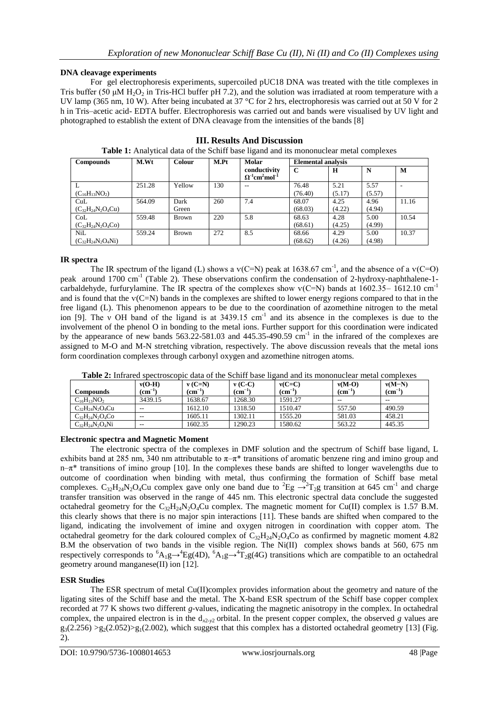## **DNA cleavage experiments**

For gel electrophoresis experiments, supercoiled pUC18 DNA was treated with the title complexes in Tris buffer (50  $\mu$ M H<sub>2</sub>O<sub>2</sub> in Tris-HCl buffer pH 7.2), and the solution was irradiated at room temperature with a UV lamp (365 nm, 10 W). After being incubated at 37 °C for 2 hrs, electrophoresis was carried out at 50 V for 2 h in Tris–acetic acid- EDTA buffer. Electrophoresis was carried out and bands were visualised by UV light and photographed to establish the extent of DNA cleavage from the intensities of the bands [8]

| <b>Compounds</b>         | M.Wt   | <b>Colour</b> | M.Pt | Molar                                                           | <b>Elemental analysis</b> |        |        |       |
|--------------------------|--------|---------------|------|-----------------------------------------------------------------|---------------------------|--------|--------|-------|
|                          |        |               |      | conductivity<br>$\Omega^{-1}$ cm <sup>2</sup> mol <sup>-1</sup> | $\mathbf C$               | H      | N      | M     |
|                          | 251.28 | Yellow        | 130  | --                                                              | 76.48                     | 5.21   | 5.57   |       |
| $(C_{16}H_{13}NO_2)$     |        |               |      |                                                                 | (76.40)                   | (5.17) | (5.57) |       |
| CuL                      | 564.09 | Dark          | 260  | 7.4                                                             | 68.07                     | 4.25   | 4.96   | 11.16 |
| $(C_{32}H_{24}N_2O_4Cu)$ |        | Green         |      |                                                                 | (68.03)                   | (4.22) | (4.94) |       |
| CoL                      | 559.48 | <b>Brown</b>  | 220  | 5.8                                                             | 68.63                     | 4.28   | 5.00   | 10.54 |
| $(C_{32}H_{24}N_2O_4Co)$ |        |               |      |                                                                 | (68.61)                   | (4.25) | (4.99) |       |
| <b>NiL</b>               | 559.24 | <b>Brown</b>  | 272  | 8.5                                                             | 68.66                     | 4.29   | 5.00   | 10.37 |
| $(C_{32}H_{24}N_2O_4Ni)$ |        |               |      |                                                                 | (68.62)                   | (4.26) | (4.98) |       |

**III. Results And Discussion Table 1:** Analytical data of the Schiff base ligand and its mononuclear metal complexes

## **IR spectra**

The IR spectrum of the ligand (L) shows a  $v(C=N)$  peak at 1638.67 cm<sup>-1</sup>, and the absence of a  $v(C=O)$ peak around 1700 cm<sup>-1</sup> (Table 2). These observations confirm the condensation of 2-hydroxy-naphthalene-1carbaldehyde, furfurylamine. The IR spectra of the complexes show  $v(C=N)$  bands at 1602.35– 1612.10 cm<sup>-1</sup> and is found that the ѵ(C=N) bands in the complexes are shifted to lower energy regions compared to that in the free ligand (L). This phenomenon appears to be due to the coordination of azomethine nitrogen to the metal ion [9]. The v OH band of the ligand is at  $3439.15$  cm<sup>-1</sup> and its absence in the complexes is due to the involvement of the phenol O in bonding to the metal ions. Further support for this coordination were indicated by the appearance of new bands  $563.22 - 581.03$  and  $445.35 - 490.59$  cm<sup>-1</sup> in the infrared of the complexes are assigned to M-O and M-N stretching vibration, respectively. The above discussion reveals that the metal ions form coordination complexes through carbonyl oxygen and azomethine nitrogen atoms.

| Compounds              | $v(O-H)$<br>$\rm \Gamma$ | $v(C=N)$<br>$\mathbf{cm}^{-1}$ | $v(C-C)$<br>$\rm \left( cm^{-1} \right)$ | $v(C=C)$<br>$\rm (cm^{-1})$ | $v(M-O)$<br>$\rm \Gamma \, cm^{-1}$ | $v(M-N)$<br>$\rm \left( cm^{-1} \right)$ |
|------------------------|--------------------------|--------------------------------|------------------------------------------|-----------------------------|-------------------------------------|------------------------------------------|
| $C_{16}H_{13}NO_2$     | 3439.15                  | 1638.67                        | 1268.30                                  | 1591.27                     | $- -$                               | $- -$                                    |
| $C_{32}H_{24}N_2O_4Cu$ | $- -$                    | 1612.10                        | 1318.50                                  | 1510.47                     | 557.50                              | 490.59                                   |
| $C_{32}H_{24}N_2O_4Co$ | $- -$                    | 1605.11                        | 1302.11                                  | 1555.20                     | 581.03                              | 458.21                                   |
| $C_{32}H_{24}N_2O_4Ni$ | $- -$                    | 1602.35                        | 1290.23                                  | 1580.62                     | 563.22                              | 445.35                                   |

**Table 2:** Infrared spectroscopic data of the Schiff base ligand and its mononuclear metal complexes

## **Electronic spectra and Magnetic Moment**

The electronic spectra of the complexes in DMF solution and the spectrum of Schiff base ligand, L exhibits band at 285 nm, 340 nm attributable to  $\pi-\pi^*$  transitions of aromatic benzene ring and imino group and  $n-\pi^*$  transitions of imino group [10]. In the complexes these bands are shifted to longer wavelengths due to outcome of coordination when binding with metal, thus confirming the formation of Schiff base metal complexes.  $C_{32}H_{24}N_2O_4Cu$  complex gave only one band due to  ${}^2Eg \rightarrow {}^2T_2g$  transition at 645 cm<sup>-1</sup> and charge transfer transition was observed in the range of 445 nm. This electronic spectral data conclude the suggested octahedral geometry for the  $C_{32}H_{24}N_{2}O_{4}Cu$  complex. The magnetic moment for Cu(II) complex is 1.57 B.M. this clearly shows that there is no major spin interactions [11]. These bands are shifted when compared to the ligand, indicating the involvement of imine and oxygen nitrogen in coordination with copper atom. The octahedral geometry for the dark coloured complex of  $C_{32}H_{24}N_2O_4C_0$  as confirmed by magnetic moment 4.82 B.M the observation of two bands in the visible region. The Ni(II) complex shows bands at 560, 675 nm respectively corresponds to  ${}^{6}A_{1}g\rightarrow {}^{4}Eg(4D)$ ,  ${}^{6}A_{1}g\rightarrow {}^{4}T_{2}g(4G)$  transitions which are compatible to an octahedral geometry around manganese(II) ion [12].

## **ESR Studies**

The ESR spectrum of metal Cu(II)complex provides information about the geometry and nature of the ligating sites of the Schiff base and the metal. The X-band ESR spectrum of the Schiff base copper complex recorded at 77 K shows two different *g*-values, indicating the magnetic anisotropy in the complex. In octahedral complex, the unpaired electron is in the  $d_{x^2-y^2}$  orbital. In the present copper complex, the observed *g* values are  $g_3(2.256) > g_2(2.052) > g_1(2.002)$ , which suggest that this complex has a distorted octahedral geometry [13] (Fig. 2).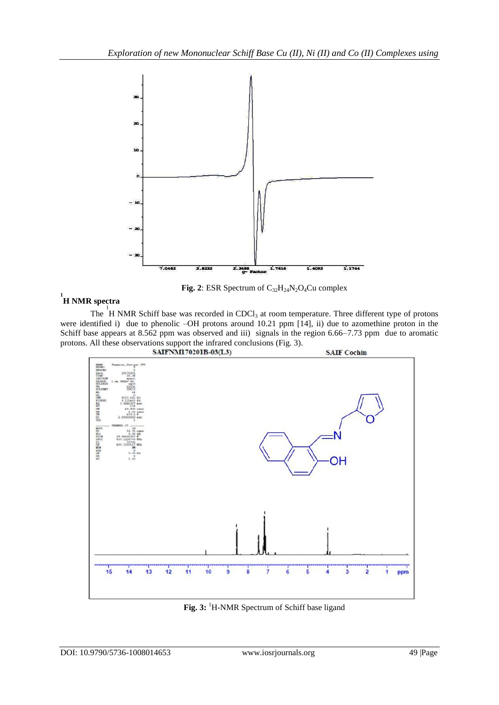

Fig. 2: ESR Spectrum of C<sub>32</sub>H<sub>24</sub>N<sub>2</sub>O<sub>4</sub>Cu complex

# **1 H NMR spectra**

The  $1$ <sup>1</sup>H NMR Schiff base was recorded in CDCl<sub>3</sub> at room temperature. Three different type of protons were identified i) due to phenolic –OH protons around 10.21 ppm [14], ii) due to azomethine proton in the Schiff base appears at 8.562 ppm was observed and iii) signals in the region 6.66–7.73 ppm due to aromatic protons. All these observations support the infrared conclusions (Fig. 3).<br>SAIFNM170201B-03(L3)



Fig. 3: <sup>1</sup>H-NMR Spectrum of Schiff base ligand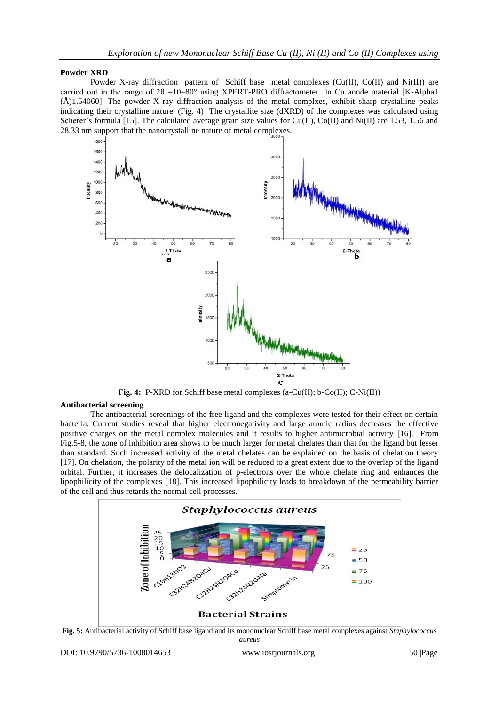### **Powder XRD**

Powder X-ray diffraction pattern of Schiff base metal complexes ( $Cu(II)$ ,  $Co(II)$ ) and  $Ni(II)$ ) are carried out in the range of  $2\theta = 10-80^\circ$  using XPERT-PRO diffractometer in Cu anode material [K-Alpha1] (Å)1.54060]. The powder X-ray diffraction analysis of the metal complxes, exhibit sharp crystalline peaks indicating their crystalline nature. (Fig. 4) The crystallite size (dXRD) of the complexes was calculated using Scherer's formula [15]. The calculated average grain size values for Cu(II), Co(II) and Ni(II) are 1.53, 1.56 and 28.33 nm support that the nanocrystalline nature of metal complexes.



**Fig. 4:** P-XRD for Schiff base metal complexes (a-Cu(II); b-Co(II); C-Ni(II))

### **Antibacterial screening**

The antibacterial screenings of the free ligand and the complexes were tested for their effect on certain bacteria. Current studies reveal that higher electronegativity and large atomic radius decreases the effective positive charges on the metal complex molecules and it results to higher antimicrobial activity [16]. From Fig.5-8, the zone of inhibition area shows to be much larger for metal chelates than that for the ligand but lesser than standard. Such increased activity of the metal chelates can be explained on the basis of chelation theory [17]. On chelation, the polarity of the metal ion will be reduced to a great extent due to the overlap of the ligand orbital. Further, it increases the delocalization of p-electrons over the whole chelate ring and enhances the lipophilicity of the complexes [18]. This increased lipophilicity leads to breakdown of the permeability barrier of the cell and thus retards the normal cell processes.



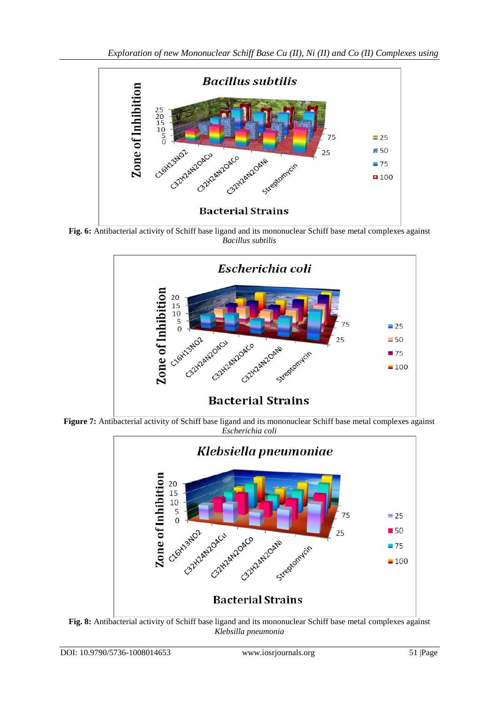

Fig. 6: Antibacterial activity of Schiff base ligand and its mononuclear Schiff base metal complexes against *Bacillus subtilis*



**Figure 7:** Antibacterial activity of Schiff base ligand and its mononuclear Schiff base metal complexes against *Escherichia coli*



*Klebsilla pneumonia*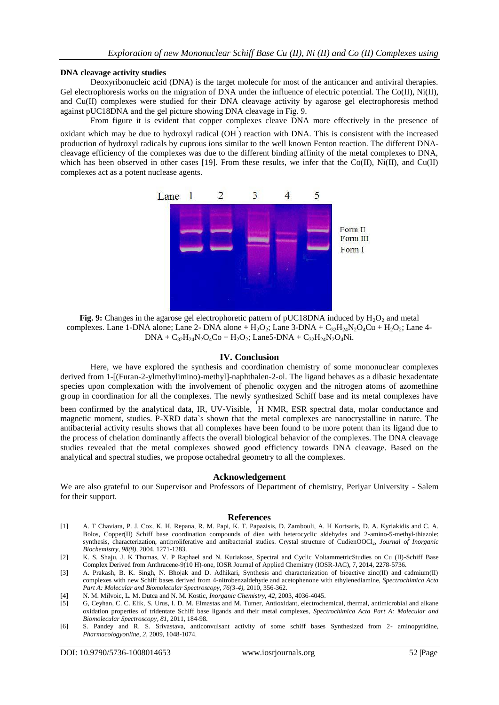#### **DNA cleavage activity studies**

Deoxyribonucleic acid (DNA) is the target molecule for most of the anticancer and antiviral therapies. Gel electrophoresis works on the migration of DNA under the influence of electric potential. The Co(II), Ni(II), and Cu(II) complexes were studied for their DNA cleavage activity by agarose gel electrophoresis method against pUC18DNA and the gel picture showing DNA cleavage in Fig. 9.

From figure it is evident that copper complexes cleave DNA more effectively in the presence of oxidant which may be due to hydroxyl radical (OH) reaction with DNA. This is consistent with the increased production of hydroxyl radicals by cuprous ions similar to the well known Fenton reaction. The different DNAcleavage efficiency of the complexes was due to the different binding affinity of the metal complexes to DNA, which has been observed in other cases [19]. From these results, we infer that the Co(II), Ni(II), and Cu(II) complexes act as a potent nuclease agents.



**Fig. 9:** Changes in the agarose gel electrophoretic pattern of pUC18DNA induced by H<sub>2</sub>O<sub>2</sub> and metal complexes. Lane 1-DNA alone; Lane 2- DNA alone +  $H_2O_2$ ; Lane 3-DNA +  $C_{32}H_{24}N_2O_4Cu + H_2O_2$ ; Lane 4- $DNA + C_{32}H_{24}N_2O_4Co + H_2O_2$ ; Lane5-DNA +  $C_{32}H_{24}N_2O_4Ni$ .

### **IV. Conclusion**

Here, we have explored the synthesis and coordination chemistry of some mononuclear complexes derived from 1-[(Furan-2-ylmethylimino)-methyl]-naphthalen-2-ol. The ligand behaves as a dibasic hexadentate species upon complexation with the involvement of phenolic oxygen and the nitrogen atoms of azomethine group in coordination for all the complexes. The newly synthesized Schiff base and its metal complexes have

been confirmed by the analytical data, IR, UV-Visible, <sup>1</sup>H NMR, ESR spectral data, molar conductance and magnetic moment, studies. P-XRD data`s shown that the metal complexes are nanocrystalline in nature. The antibacterial activity results shows that all complexes have been found to be more potent than its ligand due to the process of chelation dominantly affects the overall biological behavior of the complexes. The DNA cleavage studies revealed that the metal complexes showed good efficiency towards DNA cleavage. Based on the analytical and spectral studies, we propose octahedral geometry to all the complexes.

### **Acknowledgement**

We are also grateful to our Supervisor and Professors of Department of chemistry, Periyar University - Salem for their support.

#### **References**

- [1] A. T Chaviara, P. J. Cox, K. H. Repana, R. M. Papi, K. T. Papazisis, D. Zambouli, A. H Kortsaris, D. A. Kyriakidis and C. A. Bolos, Copper(II) Schiff base coordination compounds of dien with heterocyclic aldehydes and 2-amino-5-methyl-thiazole: synthesis, characterization, antiproliferative and antibacterial studies. Crystal structure of CudienOOCl2, *Journal of Inorganic Biochemistry*, *98(8)*, 2004, 1271-1283.
- [2] K. S. Shaju, J. K Thomas, V. P Raphael and N. Kuriakose, Spectral and Cyclic VoltammetricStudies on Cu (II)-Schiff Base Complex Derived from Anthracene-9(10 H)-one, IOSR Journal of Applied Chemistry (IOSR-JAC), 7, 2014, 2278-5736.
- [3] A. Prakash, B. K. Singh, N. Bhojak and D. Adhikari, Synthesis and characterization of bioactive zinc(II) and cadmium(II) complexes with new Schiff bases derived from 4-nitrobenzaldehyde and acetophenone with ethylenediamine, *Spectrochimica Acta Part A: Molecular and Biomolecular Spectroscopy, 76(3-4),* 2010*,* 356-362.
- [4] N. M. Milvoic, L. M. Dutca and N. M. Kostic, *Inorganic Chemistry, 42,* 2003, 4036-4045.
- [5] G, Ceyhan, C. C. Elik, S. Urus, I. D. M. Elmastas and M. Tumer, Antioxidant, electrochemical, thermal, antimicrobial and alkane oxidation properties of tridentate Schiff base ligands and their metal complexes, *Spectrochimica Acta Part A: Molecular and Biomolecular Spectroscopy, 81,* 2011*,* 184-98.
- [6] S. Pandey and R. S. Srivastava, anticonvulsant activity of some schiff bases Synthesized from 2- aminopyridine, *Pharmacologyonline, 2,* 2009*,* 1048-1074.